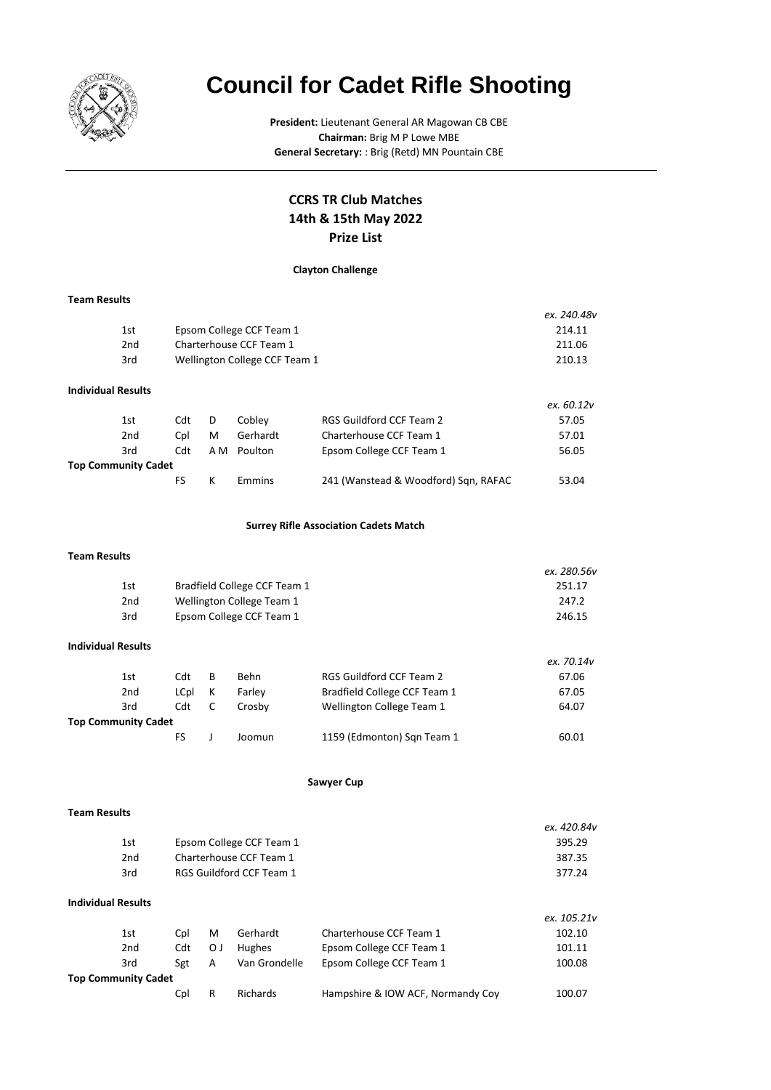

# **Council for Cadet Rifle Shooting**

**President:** Lieutenant General AR Magowan CB CBE **Chairman:** Brig M P Lowe MBE **General Secretary:** : Brig (Retd) MN Pountain CBE

## **Prize List CCRS TR Club Matches 14th & 15th May 2022**

## **Clayton Challenge**

#### **Team Results**

|                           |                               | ex. 240.48v |
|---------------------------|-------------------------------|-------------|
| 1st                       | Epsom College CCF Team 1      | 214.11      |
| 2 <sub>nd</sub>           | Charterhouse CCF Team 1       | 211.06      |
| 3rd                       | Wellington College CCF Team 1 | 210.13      |
| <b>Individual Results</b> |                               |             |

|                            |     |     |          |                                      | ex. 60.12v |
|----------------------------|-----|-----|----------|--------------------------------------|------------|
| 1st                        | Cdt | D   | Cobley   | RGS Guildford CCF Team 2             | 57.05      |
| 2 <sub>nd</sub>            | Cpl | M   | Gerhardt | Charterhouse CCF Team 1              | 57.01      |
| 3rd                        | Cdt | A M | Poulton  | Epsom College CCF Team 1             | 56.05      |
| <b>Top Community Cadet</b> |     |     |          |                                      |            |
|                            | FS. |     | Emmins   | 241 (Wanstead & Woodford) Sqn, RAFAC | 53.04      |

#### **Surrey Rifle Association Cadets Match**

#### **Team Results**

|     |                              | ex. 280.56v |
|-----|------------------------------|-------------|
| 1st | Bradfield College CCF Team 1 | 251.17      |
| 2nd | Wellington College Team 1    | 247.2       |
| 3rd | Epsom College CCF Team 1     | 246.15      |

#### **Individual Results**

|                     |      |   |        |                              | ex. 70.14v |
|---------------------|------|---|--------|------------------------------|------------|
| 1st                 | Cdt  | B | Behn   | RGS Guildford CCF Team 2     | 67.06      |
| 2nd                 | LCpl | К | Farley | Bradfield College CCF Team 1 | 67.05      |
| 3rd                 | Cdt  |   | Crosby | Wellington College Team 1    | 64.07      |
| Top Community Cadet |      |   |        |                              |            |
|                     | ЕS   |   | Joomun | 1159 (Edmonton) Sqn Team 1   | 60.01      |

#### **Sawyer Cup**

#### **Team Results**

|     |                          | ex. 420.84v |
|-----|--------------------------|-------------|
| 1st | Epsom College CCF Team 1 | 395.29      |
| 2nd | Charterhouse CCF Team 1  | 387.35      |
| 3rd | RGS Guildford CCF Team 1 | 377.24      |
|     |                          |             |

## **Individual Results**

|                            |                        |    |               |                                   | ex. 105.21v |
|----------------------------|------------------------|----|---------------|-----------------------------------|-------------|
| 1st                        | Cpl                    | M  | Gerhardt      | Charterhouse CCF Team 1           | 102.10      |
|                            | 2 <sub>nd</sub><br>Cdt | ΟJ | Hughes        | Epsom College CCF Team 1          | 101.11      |
|                            | 3rd<br>Sgt             | A  | Van Grondelle | Epsom College CCF Team 1          | 100.08      |
| <b>Top Community Cadet</b> |                        |    |               |                                   |             |
|                            | Cpl                    | R  | Richards      | Hampshire & IOW ACF, Normandy Coy | 100.07      |